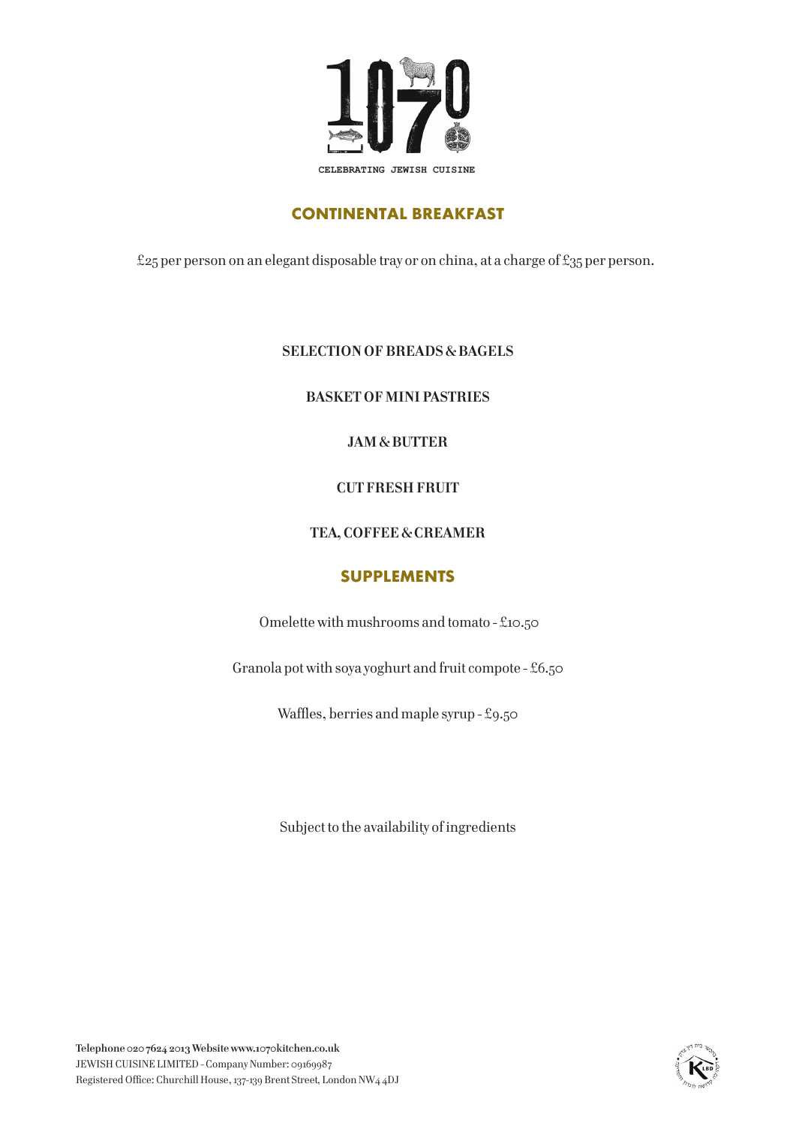

# **CONTINENTAL BREAKFAST**

£25 per person on an elegant disposable tray or on china, at a charge of £35 per person.

#### **SELECTION OF BREADS & BAGELS**

**BASKET OF MINI PASTRIES**

### **JAM & BUTTER**

#### **CUT FRESH FRUIT**

#### **TEA, COFFEE & CREAMER**

#### **SUPPLEMENTS**

Omelette with mushrooms and tomato - £10.50

Granola pot with soya yoghurt and fruit compote - £6.50

Waffles, berries and maple syrup - £9.50

Subject to the availability of ingredients

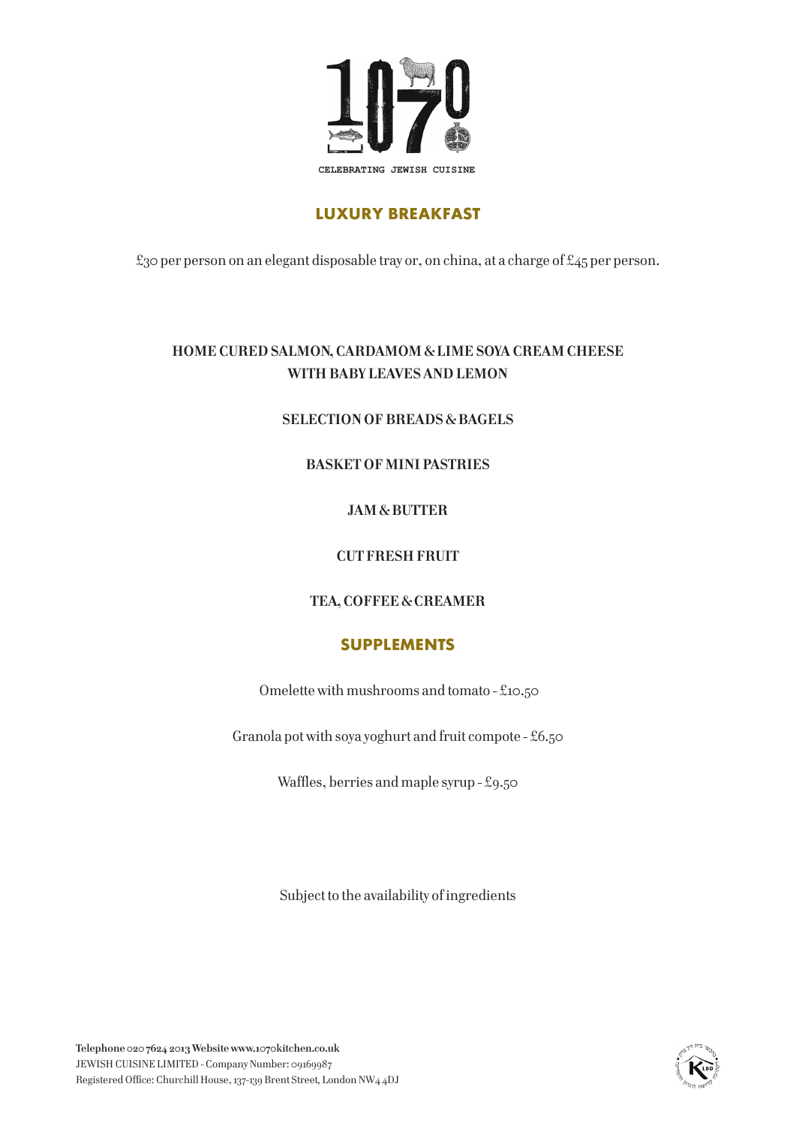

# **LUXURY BREAKFAST**

£30 per person on an elegant disposable tray or, on china, at a charge of £45 per person.

## **HOME CURED SALMON, CARDAMOM & LIME SOYA CREAM CHEESE WITH BABY LEAVES AND LEMON**

#### **SELECTION OF BREADS & BAGELS**

### **BASKET OF MINI PASTRIES**

### **JAM & BUTTER**

### **CUT FRESH FRUIT**

## **TEA, COFFEE & CREAMER**

## **SUPPLEMENTS**

Omelette with mushrooms and tomato - £10.50

Granola pot with soya yoghurt and fruit compote - £6.50

Waffles, berries and maple syrup - £9.50

Subject to the availability of ingredients